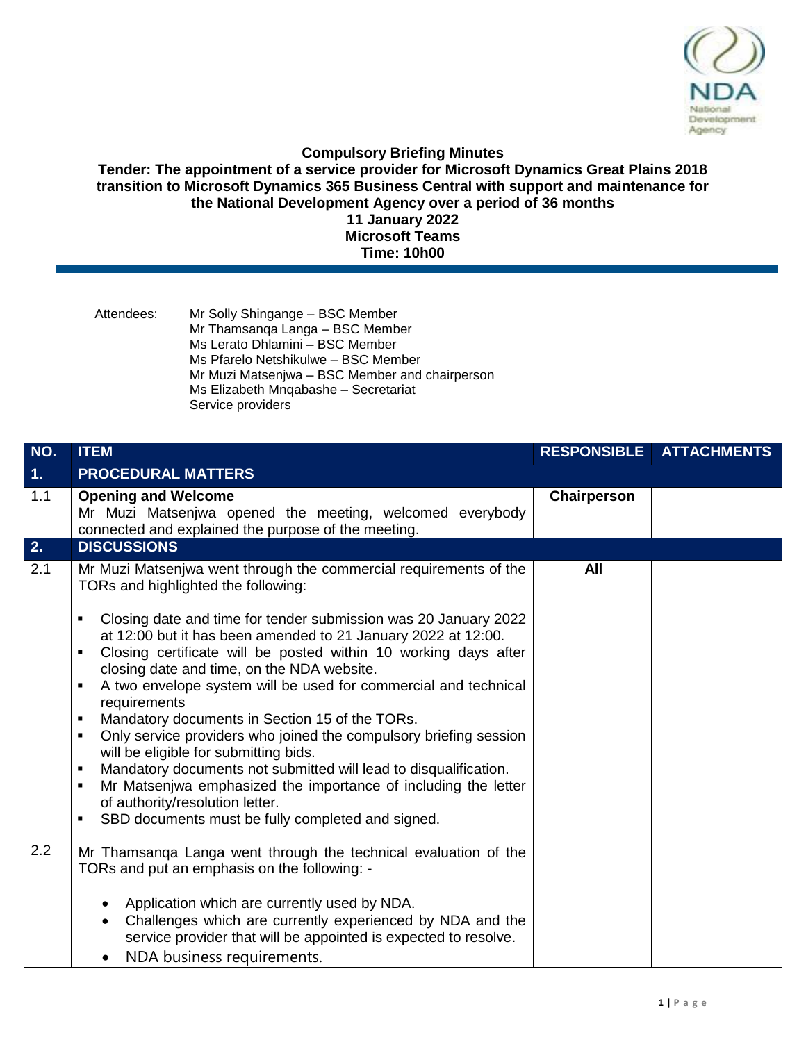

## **Compulsory Briefing Minutes**

**Tender: The appointment of a service provider for Microsoft Dynamics Great Plains 2018 transition to Microsoft Dynamics 365 Business Central with support and maintenance for the National Development Agency over a period of 36 months 11 January 2022 Microsoft Teams**

**Time: 10h00**

| Attendees: | Mr Solly Shingange – BSC Member                |
|------------|------------------------------------------------|
|            | Mr Thamsanga Langa - BSC Member                |
|            | Ms Lerato Dhlamini - BSC Member                |
|            | Ms Pfarelo Netshikulwe - BSC Member            |
|            | Mr Muzi Matsenjwa – BSC Member and chairperson |
|            | Ms Elizabeth Mngabashe - Secretariat           |
|            | Service providers                              |

| NO.            | <b>ITEM</b>                                                                                                                                                                                                                                                                                                                                                                                                                                                                                                                                                                                                                                                                                                                                                                                                                                                                                                                                | <b>RESPONSIBLE</b> | <b>ATTACHMENTS</b> |
|----------------|--------------------------------------------------------------------------------------------------------------------------------------------------------------------------------------------------------------------------------------------------------------------------------------------------------------------------------------------------------------------------------------------------------------------------------------------------------------------------------------------------------------------------------------------------------------------------------------------------------------------------------------------------------------------------------------------------------------------------------------------------------------------------------------------------------------------------------------------------------------------------------------------------------------------------------------------|--------------------|--------------------|
| 1 <sub>1</sub> | <b>PROCEDURAL MATTERS</b>                                                                                                                                                                                                                                                                                                                                                                                                                                                                                                                                                                                                                                                                                                                                                                                                                                                                                                                  |                    |                    |
| 1.1            | <b>Opening and Welcome</b><br>Mr Muzi Matsenjwa opened the meeting, welcomed everybody<br>connected and explained the purpose of the meeting.                                                                                                                                                                                                                                                                                                                                                                                                                                                                                                                                                                                                                                                                                                                                                                                              | Chairperson        |                    |
| 2.             | <b>DISCUSSIONS</b>                                                                                                                                                                                                                                                                                                                                                                                                                                                                                                                                                                                                                                                                                                                                                                                                                                                                                                                         |                    |                    |
| 2.1            | Mr Muzi Matsenjwa went through the commercial requirements of the<br>TORs and highlighted the following:<br>Closing date and time for tender submission was 20 January 2022<br>٠<br>at 12:00 but it has been amended to 21 January 2022 at 12:00.<br>Closing certificate will be posted within 10 working days after<br>٠<br>closing date and time, on the NDA website.<br>A two envelope system will be used for commercial and technical<br>$\blacksquare$<br>requirements<br>Mandatory documents in Section 15 of the TORs.<br>٠<br>Only service providers who joined the compulsory briefing session<br>$\blacksquare$<br>will be eligible for submitting bids.<br>Mandatory documents not submitted will lead to disqualification.<br>$\blacksquare$<br>Mr Matsenjwa emphasized the importance of including the letter<br>٠<br>of authority/resolution letter.<br>SBD documents must be fully completed and signed.<br>$\blacksquare$ | All                |                    |
| 2.2            | Mr Thamsanga Langa went through the technical evaluation of the<br>TORs and put an emphasis on the following: -<br>Application which are currently used by NDA.<br>Challenges which are currently experienced by NDA and the                                                                                                                                                                                                                                                                                                                                                                                                                                                                                                                                                                                                                                                                                                               |                    |                    |
|                | service provider that will be appointed is expected to resolve.<br>NDA business requirements.                                                                                                                                                                                                                                                                                                                                                                                                                                                                                                                                                                                                                                                                                                                                                                                                                                              |                    |                    |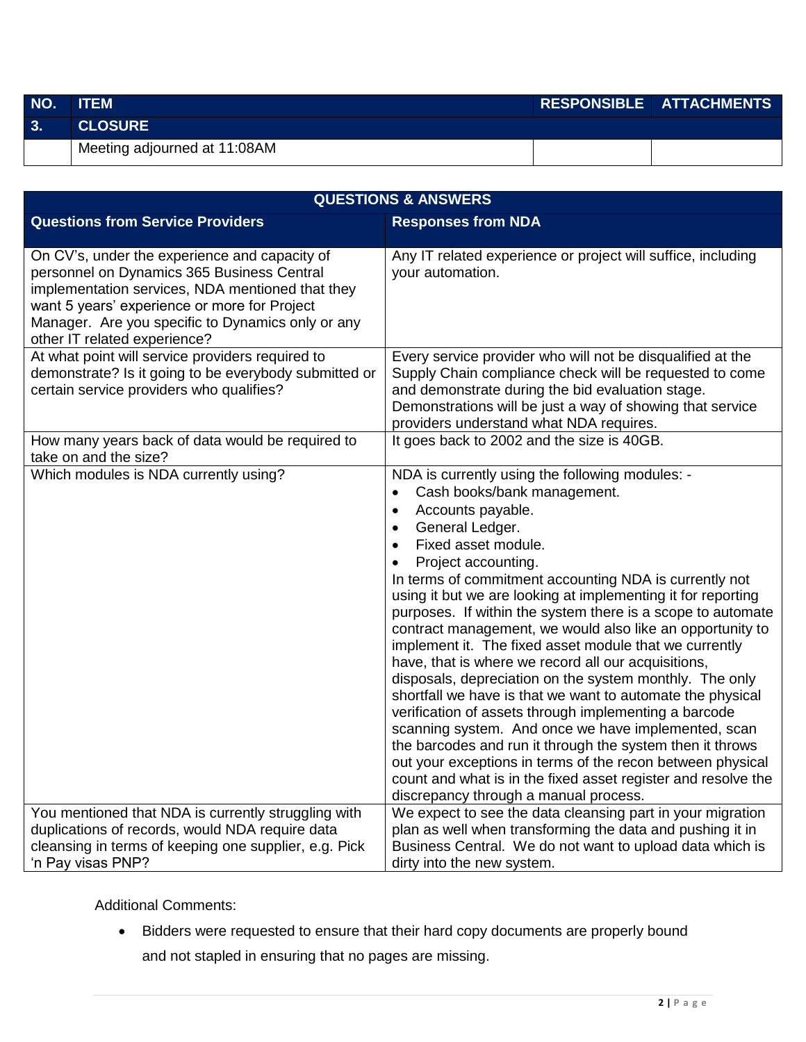| NO. | <b>ITEM</b>                  | RESPONSIBLE ATTACHMENTS |
|-----|------------------------------|-------------------------|
| 3.  | <b>CLOSURE</b>               |                         |
|     | Meeting adjourned at 11:08AM |                         |

| <b>QUESTIONS &amp; ANSWERS</b>                                                                                                                                                                                                                                                       |                                                                                                                                                                                                                                                                                                                                                                                                                                                                                                                                                                                                                                                                                                                                                                                                                                                                                                                                                                                                                                                                                            |  |  |  |
|--------------------------------------------------------------------------------------------------------------------------------------------------------------------------------------------------------------------------------------------------------------------------------------|--------------------------------------------------------------------------------------------------------------------------------------------------------------------------------------------------------------------------------------------------------------------------------------------------------------------------------------------------------------------------------------------------------------------------------------------------------------------------------------------------------------------------------------------------------------------------------------------------------------------------------------------------------------------------------------------------------------------------------------------------------------------------------------------------------------------------------------------------------------------------------------------------------------------------------------------------------------------------------------------------------------------------------------------------------------------------------------------|--|--|--|
| <b>Questions from Service Providers</b>                                                                                                                                                                                                                                              | <b>Responses from NDA</b>                                                                                                                                                                                                                                                                                                                                                                                                                                                                                                                                                                                                                                                                                                                                                                                                                                                                                                                                                                                                                                                                  |  |  |  |
| On CV's, under the experience and capacity of<br>personnel on Dynamics 365 Business Central<br>implementation services, NDA mentioned that they<br>want 5 years' experience or more for Project<br>Manager. Are you specific to Dynamics only or any<br>other IT related experience? | Any IT related experience or project will suffice, including<br>your automation.                                                                                                                                                                                                                                                                                                                                                                                                                                                                                                                                                                                                                                                                                                                                                                                                                                                                                                                                                                                                           |  |  |  |
| At what point will service providers required to<br>demonstrate? Is it going to be everybody submitted or<br>certain service providers who qualifies?                                                                                                                                | Every service provider who will not be disqualified at the<br>Supply Chain compliance check will be requested to come<br>and demonstrate during the bid evaluation stage.<br>Demonstrations will be just a way of showing that service<br>providers understand what NDA requires.                                                                                                                                                                                                                                                                                                                                                                                                                                                                                                                                                                                                                                                                                                                                                                                                          |  |  |  |
| How many years back of data would be required to<br>take on and the size?                                                                                                                                                                                                            | It goes back to 2002 and the size is 40GB.                                                                                                                                                                                                                                                                                                                                                                                                                                                                                                                                                                                                                                                                                                                                                                                                                                                                                                                                                                                                                                                 |  |  |  |
| Which modules is NDA currently using?                                                                                                                                                                                                                                                | NDA is currently using the following modules: -<br>Cash books/bank management.<br>$\bullet$<br>Accounts payable.<br>$\bullet$<br>General Ledger.<br>$\bullet$<br>Fixed asset module.<br>$\bullet$<br>Project accounting.<br>$\bullet$<br>In terms of commitment accounting NDA is currently not<br>using it but we are looking at implementing it for reporting<br>purposes. If within the system there is a scope to automate<br>contract management, we would also like an opportunity to<br>implement it. The fixed asset module that we currently<br>have, that is where we record all our acquisitions,<br>disposals, depreciation on the system monthly. The only<br>shortfall we have is that we want to automate the physical<br>verification of assets through implementing a barcode<br>scanning system. And once we have implemented, scan<br>the barcodes and run it through the system then it throws<br>out your exceptions in terms of the recon between physical<br>count and what is in the fixed asset register and resolve the<br>discrepancy through a manual process. |  |  |  |
| You mentioned that NDA is currently struggling with<br>duplications of records, would NDA require data<br>cleansing in terms of keeping one supplier, e.g. Pick                                                                                                                      | We expect to see the data cleansing part in your migration<br>plan as well when transforming the data and pushing it in<br>Business Central. We do not want to upload data which is                                                                                                                                                                                                                                                                                                                                                                                                                                                                                                                                                                                                                                                                                                                                                                                                                                                                                                        |  |  |  |
| 'n Pay visas PNP?                                                                                                                                                                                                                                                                    | dirty into the new system.                                                                                                                                                                                                                                                                                                                                                                                                                                                                                                                                                                                                                                                                                                                                                                                                                                                                                                                                                                                                                                                                 |  |  |  |

Additional Comments:

 Bidders were requested to ensure that their hard copy documents are properly bound and not stapled in ensuring that no pages are missing.